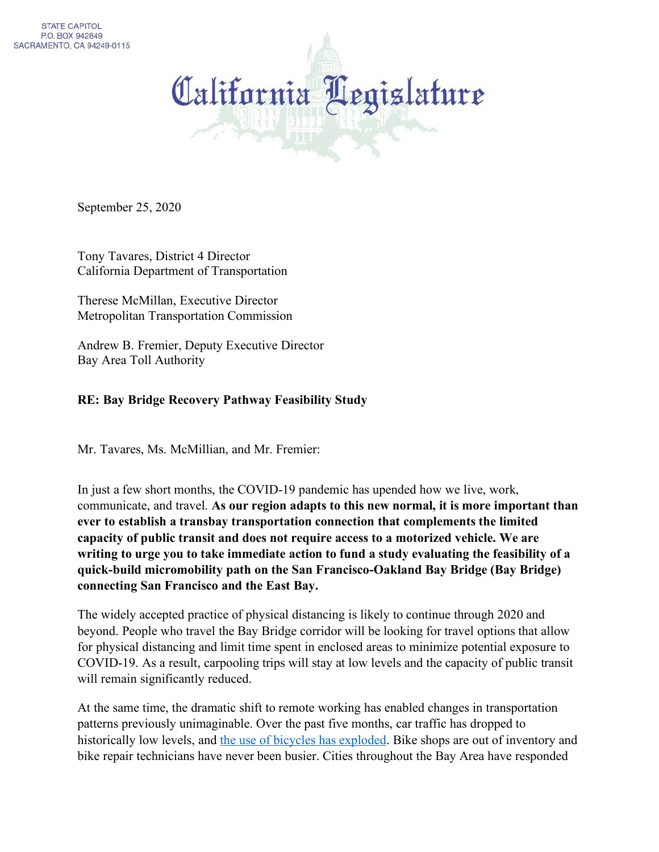

September 25, 2020

Tony Tavares, District 4 Director California Department of Transportation

Therese McMillan, Executive Director Metropolitan Transportation Commission

Andrew B. Fremier, Deputy Executive Director Bay Area Toll Authority

## **RE: Bay Bridge Recovery Pathway Feasibility Study**

Mr. Tavares, Ms. McMillian, and Mr. Fremier:

In just a few short months, the COVID-19 pandemic has upended how we live, work, communicate, and travel. **As our region adapts to this new normal, it is more important than ever to establish a transbay transportation connection that complements the limited capacity of public transit and does not require access to a motorized vehicle. We are writing to urge you to take immediate action to fund a study evaluating the feasibility of a quick-build micromobility path on the San Francisco-Oakland Bay Bridge (Bay Bridge) connecting San Francisco and the East Bay.**

The widely accepted practice of physical distancing is likely to continue through 2020 and beyond. People who travel the Bay Bridge corridor will be looking for travel options that allow for physical distancing and limit time spent in enclosed areas to minimize potential exposure to COVID-19. As a result, carpooling trips will stay at low levels and the capacity of public transit will remain significantly reduced.

At the same time, the dramatic shift to remote working has enabled changes in transportation patterns previously unimaginable. Over the past five months, car traffic has dropped to historically low levels, and [the use of bicycles has exploded.](https://www.theguardian.com/us-news/2020/may/13/coronavirus-cycling-bikes-american-boom) Bike shops are out of inventory and bike repair technicians have never been busier. Cities throughout the Bay Area have responded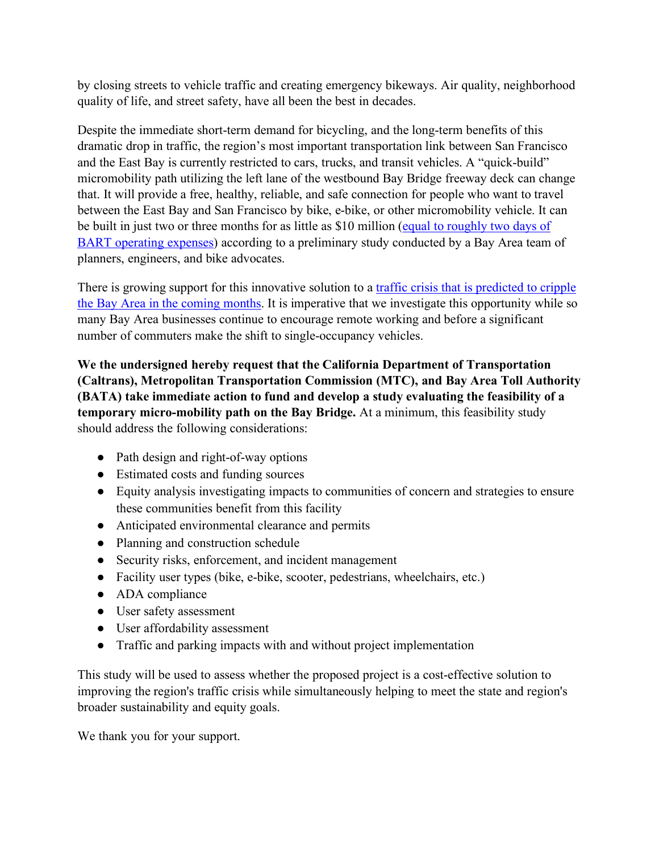by closing streets to vehicle traffic and creating emergency bikeways. Air quality, neighborhood quality of life, and street safety, have all been the best in decades.

Despite the immediate short-term demand for bicycling, and the long-term benefits of this dramatic drop in traffic, the region's most important transportation link between San Francisco and the East Bay is currently restricted to cars, trucks, and transit vehicles. A "quick-build" micromobility path utilizing the left lane of the westbound Bay Bridge freeway deck can change that. It will provide a free, healthy, reliable, and safe connection for people who want to travel between the East Bay and San Francisco by bike, e-bike, or other micromobility vehicle. It can be built in just two or three months for as little as \$10 million (equal to roughly two days of [BART operating expenses\)](https://www.bart.gov/sites/default/files/docs/FY18_Budget_Summary.pdf) according to a preliminary study conducted by a Bay Area team of planners, engineers, and bike advocates.

There is growing support for this innovative solution to a traffic crisis that is predicted to cripple [the Bay Area in the coming months.](https://sanfrancisco.cbslocal.com/2020/05/07/university-study-says-san-francisco-commute-traffic-hardest-hit-when-lockdown-eases/) It is imperative that we investigate this opportunity while so many Bay Area businesses continue to encourage remote working and before a significant number of commuters make the shift to single-occupancy vehicles.

**We the undersigned hereby request that the California Department of Transportation (Caltrans), Metropolitan Transportation Commission (MTC), and Bay Area Toll Authority (BATA) take immediate action to fund and develop a study evaluating the feasibility of a temporary micro-mobility path on the Bay Bridge.** At a minimum, this feasibility study should address the following considerations:

- Path design and right-of-way options
- Estimated costs and funding sources
- Equity analysis investigating impacts to communities of concern and strategies to ensure these communities benefit from this facility
- Anticipated environmental clearance and permits
- Planning and construction schedule
- Security risks, enforcement, and incident management
- Facility user types (bike, e-bike, scooter, pedestrians, wheelchairs, etc.)
- ADA compliance
- User safety assessment
- User affordability assessment
- Traffic and parking impacts with and without project implementation

This study will be used to assess whether the proposed project is a cost-effective solution to improving the region's traffic crisis while simultaneously helping to meet the state and region's broader sustainability and equity goals.

We thank you for your support.